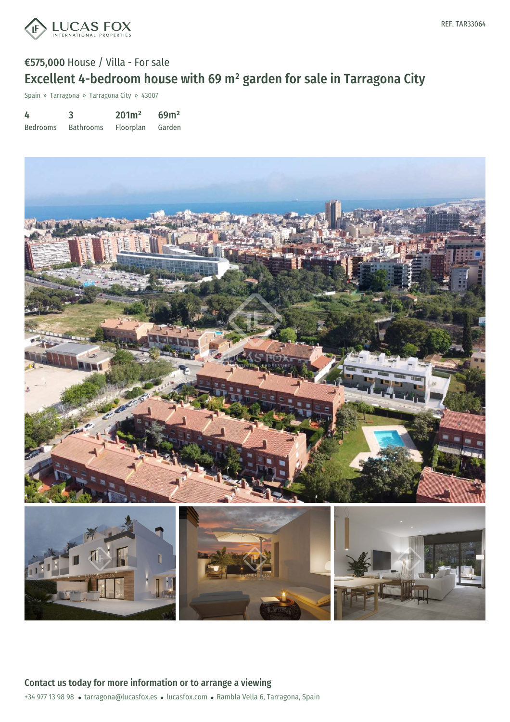

# €575,000 House / Villa - For sale Excellent 4-bedroom house with 69 m² garden for sale in Tarragona City

Spain » Tarragona » Tarragona City » 43007

| 4               | 3                | 201m <sup>2</sup> | 69 <sup>m²</sup> |
|-----------------|------------------|-------------------|------------------|
| <b>Bedrooms</b> | <b>Bathrooms</b> | Floorplan         | Garden           |

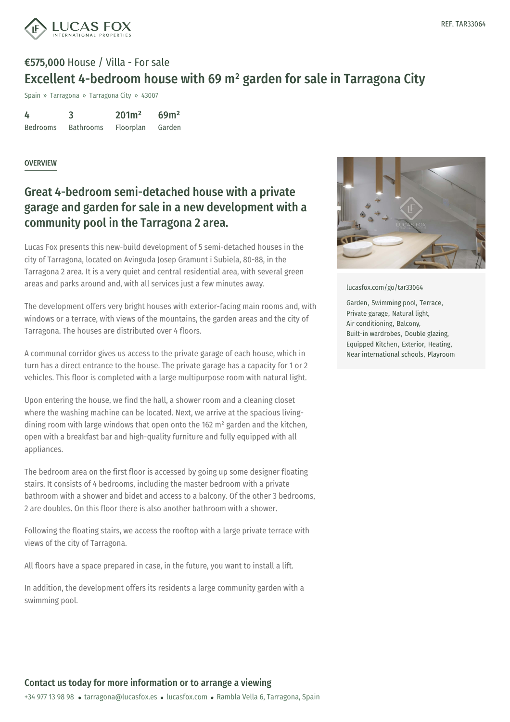

## €575,000 House / Villa - For sale Excellent 4-bedroom house with 69 m² garden for sale in Tarragona City

Spain » Tarragona » Tarragona City » 43007

4 Bedrooms 3 Bathrooms 201m² Floorplan 69m² Garden

#### OVERVIEW

### Great 4-bedroom semi-detached house with a private garage and garden for sale in a new development with a community pool in the Tarragona 2 area.

Lucas Fox presents this new-build development of 5 semi-detached houses in the city of Tarragona, located on Avinguda Josep Gramunt i Subiela, 80-88, in the Tarragona 2 area. It is a very quiet and central residential area, with several green areas and parks around and, with all services just a few minutes away.

The development offers very bright houses with exterior-facing main rooms and, with windows or a terrace, with views of the mountains, the garden areas and the city of Tarragona. The houses are distributed over 4 floors.

A communal corridor gives us access to the private garage of each house, which in turn has a direct entrance to the house. The private garage has a capacity for 1 or 2 vehicles. This floor is completed with a large multipurpose room with natural light.

Upon entering the house, we find the hall, a shower room and a cleaning closet where the washing machine can be located. Next, we arrive at the spacious livingdining room with large windows that open onto the 162 m² garden and the kitchen, open with a breakfast bar and high-quality furniture and fully equipped with all appliances.

The bedroom area on the first floor is accessed by going up some designer floating stairs. It consists of 4 bedrooms, including the master bedroom with a private bathroom with a shower and bidet and access to a balcony. Of the other 3 bedrooms, 2 are doubles. On this floor there is also another bathroom with a shower.

Following the floating stairs, we access the [rooftop](https://www.lucasfox.com) with a large private terrace with views of the city of [Tarragona.](mailto:tarragona@lucasfox.es)

All floors have a space prepared in case, in the future, you want to install a lift.

In addition, the development offers its residents a large community garden with a swimming pool.



[lucasfox.com/go/tar33064](https://www.lucasfox.com/go/tar33064)

Garden, Swimming pool, Terrace, Private garage, Natural light, Air conditioning, Balcony, Built-in wardrobes, Double glazing, Equipped Kitchen, Exterior, Heating, Near international schools, Playroom